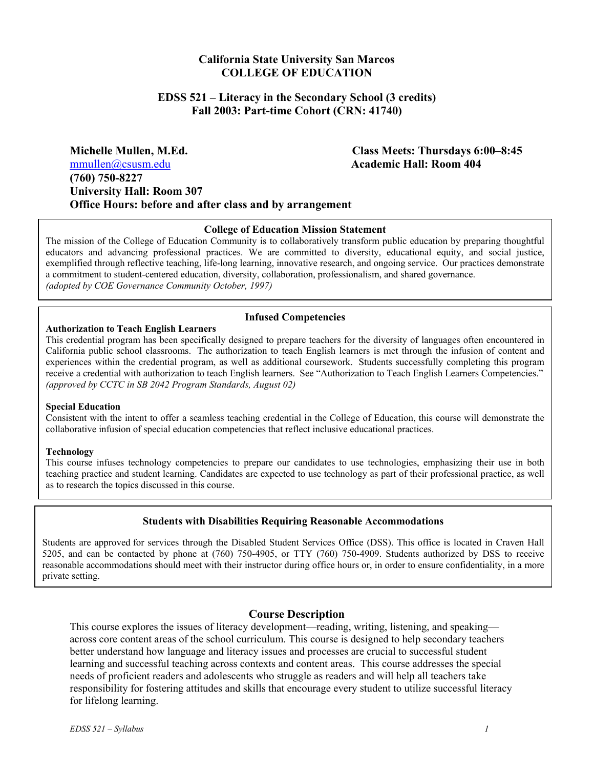# **California State University San Marcos COLLEGE OF EDUCATION**

#### **EDSS 521 – Literacy in the Secondary School (3 credits) Fall 2003: Part-time Cohort (CRN: 41740)**

**Michelle Mullen, M.Ed. Class Meets: Thursdays 6:00–8:45**  mmullen@csusm.edu **Academic Hall: Room 404 (760) 750-8227 University Hall: Room 307 Office Hours: before and after class and by arrangement** 

#### **College of Education Mission Statement**

The mission of the College of Education Community is to collaboratively transform public education by preparing thoughtful educators and advancing professional practices. We are committed to diversity, educational equity, and social justice, exemplified through reflective teaching, life-long learning, innovative research, and ongoing service. Our practices demonstrate a commitment to student-centered education, diversity, collaboration, professionalism, and shared governance. *(adopted by COE Governance Community October, 1997)*

#### **Infused Competencies**

#### **Authorization to Teach English Learners**

This credential program has been specifically designed to prepare teachers for the diversity of languages often encountered in California public school classrooms. The authorization to teach English learners is met through the infusion of content and experiences within the credential program, as well as additional coursework. Students successfully completing this program receive a credential with authorization to teach English learners. See "Authorization to Teach English Learners Competencies." *(approved by CCTC in SB 2042 Program Standards, August 02)* 

#### **Special Education**

Consistent with the intent to offer a seamless teaching credential in the College of Education, this course will demonstrate the collaborative infusion of special education competencies that reflect inclusive educational practices.

#### **Technology**

This course infuses technology competencies to prepare our candidates to use technologies, emphasizing their use in both teaching practice and student learning. Candidates are expected to use technology as part of their professional practice, as well as to research the topics discussed in this course.

#### **Students with Disabilities Requiring Reasonable Accommodations**

Students are approved for services through the Disabled Student Services Office (DSS). This office is located in Craven Hall 5205, and can be contacted by phone at (760) 750-4905, or TTY (760) 750-4909. Students authorized by DSS to receive reasonable accommodations should meet with their instructor during office hours or, in order to ensure confidentiality, in a more private setting.

#### **Course Description**

This course explores the issues of literacy development—reading, writing, listening, and speaking across core content areas of the school curriculum. This course is designed to help secondary teachers better understand how language and literacy issues and processes are crucial to successful student learning and successful teaching across contexts and content areas. This course addresses the special needs of proficient readers and adolescents who struggle as readers and will help all teachers take responsibility for fostering attitudes and skills that encourage every student to utilize successful literacy for lifelong learning.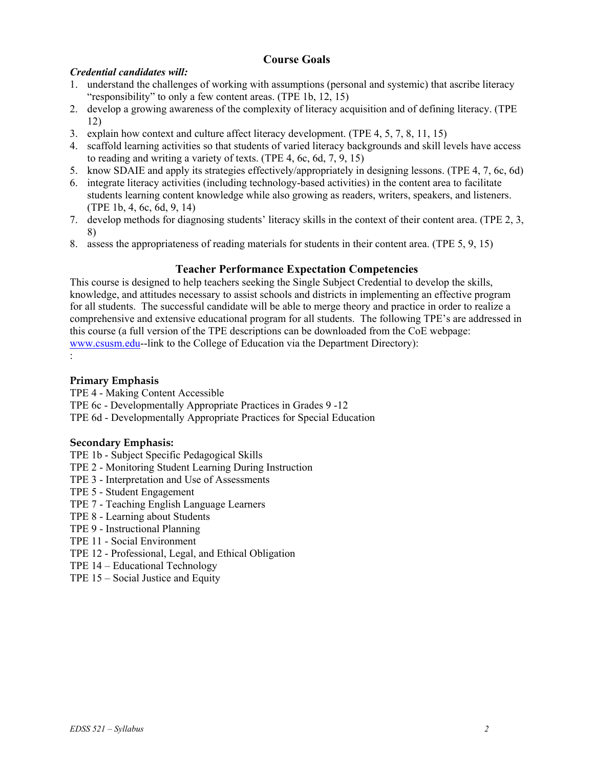# **Course Goals**

## *Credential candidates will:*

- 1. understand the challenges of working with assumptions (personal and systemic) that ascribe literacy "responsibility" to only a few content areas. (TPE 1b, 12, 15)
- 2. develop a growing awareness of the complexity of literacy acquisition and of defining literacy. (TPE 12)
- 3. explain how context and culture affect literacy development. (TPE 4, 5, 7, 8, 11, 15)
- 4. scaffold learning activities so that students of varied literacy backgrounds and skill levels have access to reading and writing a variety of texts. (TPE 4, 6c, 6d, 7, 9, 15)
- 5. know SDAIE and apply its strategies effectively/appropriately in designing lessons. (TPE 4, 7, 6c, 6d)
- 6. integrate literacy activities (including technology-based activities) in the content area to facilitate students learning content knowledge while also growing as readers, writers, speakers, and listeners. (TPE 1b, 4, 6c, 6d, 9, 14)
- 7. develop methods for diagnosing students' literacy skills in the context of their content area. (TPE 2, 3, 8)
- 8. assess the appropriateness of reading materials for students in their content area. (TPE 5, 9, 15)

### **Teacher Performance Expectation Competencies**

This course is designed to help teachers seeking the Single Subject Credential to develop the skills, knowledge, and attitudes necessary to assist schools and districts in implementing an effective program for all students. The successful candidate will be able to merge theory and practice in order to realize a comprehensive and extensive educational program for all students. The following TPE's are addressed in this course (a full version of the TPE descriptions can be downloaded from the CoE webpage: www.csusm.edu--link to the College of Education via the Department Directory): :

### **Primary Emphasis**

TPE 4 - Making Content Accessible

- TPE 6c Developmentally Appropriate Practices in Grades 9 -12
- TPE 6d Developmentally Appropriate Practices for Special Education

#### **Secondary Emphasis:**

- TPE 1b Subject Specific Pedagogical Skills
- TPE 2 Monitoring Student Learning During Instruction
- TPE 3 Interpretation and Use of Assessments
- TPE 5 Student Engagement
- TPE 7 Teaching English Language Learners
- TPE 8 Learning about Students
- TPE 9 Instructional Planning
- TPE 11 Social Environment
- TPE 12 Professional, Legal, and Ethical Obligation
- TPE 14 Educational Technology
- TPE 15 Social Justice and Equity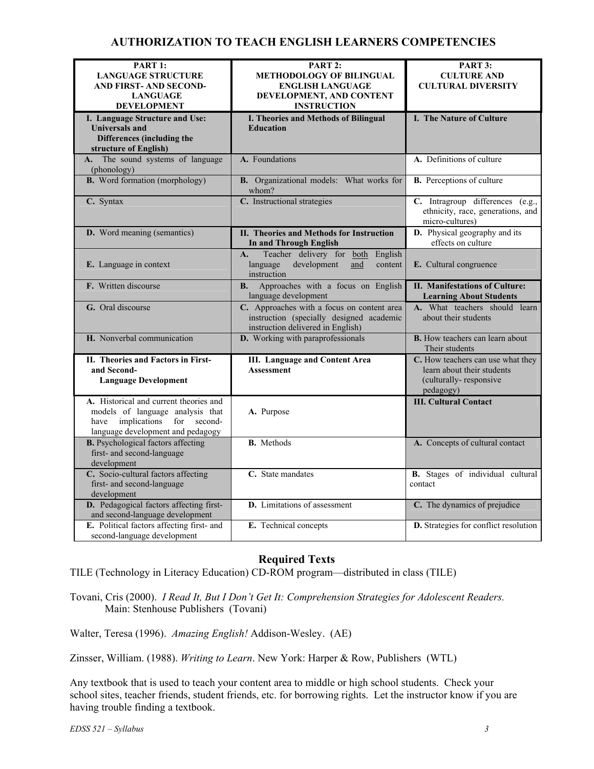# **AUTHORIZATION TO TEACH ENGLISH LEARNERS COMPETENCIES**

| PART 1:<br><b>LANGUAGE STRUCTURE</b>                                                                                                                   | PART 2:<br><b>METHODOLOGY OF BILINGUAL</b>                                                                                  | PART 3:<br><b>CULTURE AND</b>                                                                          |
|--------------------------------------------------------------------------------------------------------------------------------------------------------|-----------------------------------------------------------------------------------------------------------------------------|--------------------------------------------------------------------------------------------------------|
| <b>AND FIRST- AND SECOND-</b>                                                                                                                          | <b>ENGLISH LANGUAGE</b>                                                                                                     | <b>CULTURAL DIVERSITY</b>                                                                              |
| <b>LANGUAGE</b>                                                                                                                                        | DEVELOPMENT, AND CONTENT                                                                                                    |                                                                                                        |
| <b>DEVELOPMENT</b>                                                                                                                                     | <b>INSTRUCTION</b>                                                                                                          |                                                                                                        |
| I. Language Structure and Use:                                                                                                                         | I. Theories and Methods of Bilingual                                                                                        | I. The Nature of Culture                                                                               |
| <b>Universals and</b>                                                                                                                                  | <b>Education</b>                                                                                                            |                                                                                                        |
| Differences (including the                                                                                                                             |                                                                                                                             |                                                                                                        |
| structure of English)                                                                                                                                  |                                                                                                                             |                                                                                                        |
| A. The sound systems of language<br>(phonology)                                                                                                        | A. Foundations                                                                                                              | A. Definitions of culture                                                                              |
| <b>B.</b> Word formation (morphology)                                                                                                                  | B. Organizational models: What works for<br>whom?                                                                           | <b>B.</b> Perceptions of culture                                                                       |
| C. Syntax                                                                                                                                              | C. Instructional strategies                                                                                                 | C. Intragroup differences (e.g.,                                                                       |
|                                                                                                                                                        |                                                                                                                             | ethnicity, race, generations, and<br>micro-cultures)                                                   |
| D. Word meaning (semantics)                                                                                                                            | II. Theories and Methods for Instruction<br><b>In and Through English</b>                                                   | <b>D.</b> Physical geography and its<br>effects on culture                                             |
|                                                                                                                                                        | Teacher delivery for both<br>English<br>A.                                                                                  |                                                                                                        |
| E. Language in context                                                                                                                                 | development<br>language<br>and<br>content<br>instruction                                                                    | E. Cultural congruence                                                                                 |
| F. Written discourse                                                                                                                                   | Approaches with a focus on English<br><b>B.</b><br>language development                                                     | <b>II. Manifestations of Culture:</b><br><b>Learning About Students</b>                                |
| G. Oral discourse                                                                                                                                      | C. Approaches with a focus on content area<br>instruction (specially designed academic<br>instruction delivered in English) | A. What teachers should learn<br>about their students                                                  |
| H. Nonverbal communication                                                                                                                             | D. Working with paraprofessionals                                                                                           | <b>B.</b> How teachers can learn about<br>Their students                                               |
| II. Theories and Factors in First-<br>and Second-<br><b>Language Development</b>                                                                       | <b>III.</b> Language and Content Area<br><b>Assessment</b>                                                                  | C. How teachers can use what they<br>learn about their students<br>(culturally-responsive<br>pedagogy) |
| A. Historical and current theories and<br>models of language analysis that<br>implications<br>for second-<br>have<br>language development and pedagogy | A. Purpose                                                                                                                  | <b>III. Cultural Contact</b>                                                                           |
| <b>B.</b> Psychological factors affecting<br>first- and second-language<br>development                                                                 | <b>B.</b> Methods                                                                                                           | A. Concepts of cultural contact                                                                        |
| C. Socio-cultural factors affecting<br>first- and second-language<br>development                                                                       | C. State mandates                                                                                                           | <b>B.</b> Stages of individual cultural<br>contact                                                     |
| D. Pedagogical factors affecting first-<br>and second-language development                                                                             | D. Limitations of assessment                                                                                                | C. The dynamics of prejudice                                                                           |
| E. Political factors affecting first- and<br>second-language development                                                                               | E. Technical concepts                                                                                                       | D. Strategies for conflict resolution                                                                  |

# **Required Texts**

TILE (Technology in Literacy Education) CD-ROM program—distributed in class (TILE)

Tovani, Cris (2000). *I Read It, But I Don't Get It: Comprehension Strategies for Adolescent Readers.*  Main: Stenhouse Publishers (Tovani)

Walter, Teresa (1996). *Amazing English!* Addison-Wesley. (AE)

Zinsser, William. (1988). *Writing to Learn*. New York: Harper & Row, Publishers (WTL)

Any textbook that is used to teach your content area to middle or high school students. Check your school sites, teacher friends, student friends, etc. for borrowing rights. Let the instructor know if you are having trouble finding a textbook.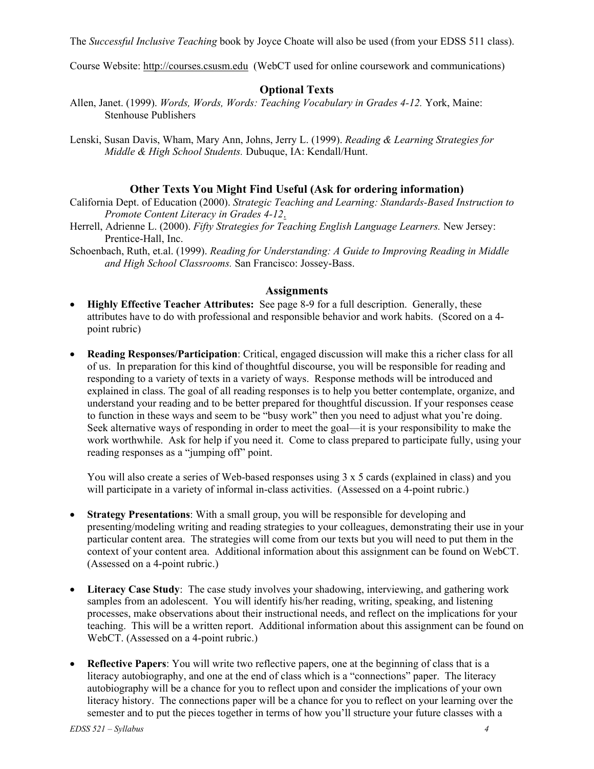The *Successful Inclusive Teaching* book by Joyce Choate will also be used (from your EDSS 511 class).

Course Website: http://courses.csusm.edu (WebCT used for online coursework and communications)

#### **Optional Texts**

- Allen, Janet. (1999). *Words, Words, Words: Teaching Vocabulary in Grades 4-12.* York, Maine: Stenhouse Publishers
- Lenski, Susan Davis, Wham, Mary Ann, Johns, Jerry L. (1999). *Reading & Learning Strategies for Middle & High School Students.* Dubuque, IA: Kendall/Hunt.

#### **Other Texts You Might Find Useful (Ask for ordering information)**

- California Dept. of Education (2000). *Strategic Teaching and Learning: Standards-Based Instruction to Promote Content Literacy in Grades 4-12*.
- Herrell, Adrienne L. (2000). *Fifty Strategies for Teaching English Language Learners.* New Jersey: Prentice-Hall, Inc.
- Schoenbach, Ruth, et.al. (1999). *Reading for Understanding: A Guide to Improving Reading in Middle and High School Classrooms.* San Francisco: Jossey-Bass.

#### **Assignments**

- **Highly Effective Teacher Attributes:** See page 8-9 for a full description. Generally, these attributes have to do with professional and responsible behavior and work habits. (Scored on a 4 point rubric)
- **Reading Responses/Participation**: Critical, engaged discussion will make this a richer class for all of us. In preparation for this kind of thoughtful discourse, you will be responsible for reading and responding to a variety of texts in a variety of ways. Response methods will be introduced and explained in class. The goal of all reading responses is to help you better contemplate, organize, and understand your reading and to be better prepared for thoughtful discussion. If your responses cease to function in these ways and seem to be "busy work" then you need to adjust what you're doing. Seek alternative ways of responding in order to meet the goal—it is your responsibility to make the work worthwhile. Ask for help if you need it. Come to class prepared to participate fully, using your reading responses as a "jumping off" point.

You will also create a series of Web-based responses using 3 x 5 cards (explained in class) and you will participate in a variety of informal in-class activities. (Assessed on a 4-point rubric.)

- **Strategy Presentations:** With a small group, you will be responsible for developing and presenting/modeling writing and reading strategies to your colleagues, demonstrating their use in your particular content area. The strategies will come from our texts but you will need to put them in the context of your content area. Additional information about this assignment can be found on WebCT. (Assessed on a 4-point rubric.)
- **Literacy Case Study**: The case study involves your shadowing, interviewing, and gathering work samples from an adolescent. You will identify his/her reading, writing, speaking, and listening processes, make observations about their instructional needs, and reflect on the implications for your teaching. This will be a written report. Additional information about this assignment can be found on WebCT. (Assessed on a 4-point rubric.)
- **Reflective Papers**: You will write two reflective papers, one at the beginning of class that is a literacy autobiography, and one at the end of class which is a "connections" paper. The literacy autobiography will be a chance for you to reflect upon and consider the implications of your own literacy history. The connections paper will be a chance for you to reflect on your learning over the semester and to put the pieces together in terms of how you'll structure your future classes with a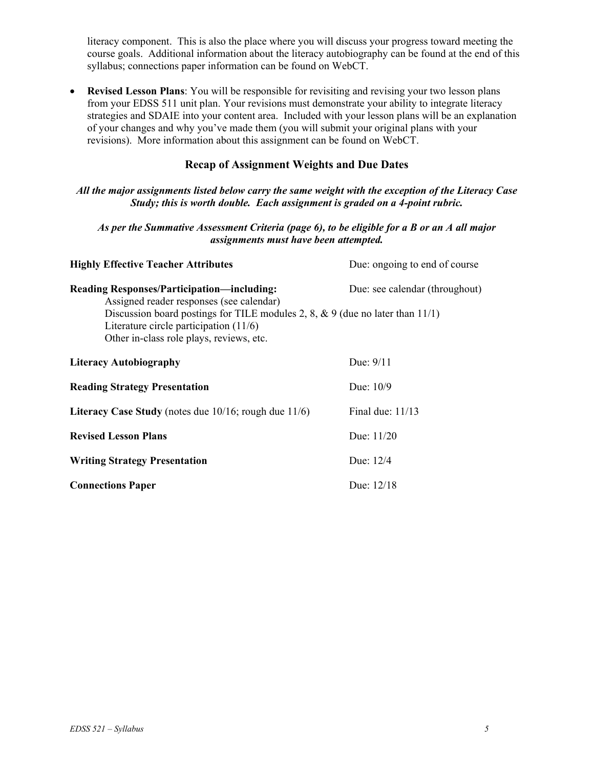literacy component. This is also the place where you will discuss your progress toward meeting the course goals. Additional information about the literacy autobiography can be found at the end of this syllabus; connections paper information can be found on WebCT.

• **Revised Lesson Plans**: You will be responsible for revisiting and revising your two lesson plans from your EDSS 511 unit plan. Your revisions must demonstrate your ability to integrate literacy strategies and SDAIE into your content area. Included with your lesson plans will be an explanation of your changes and why you've made them (you will submit your original plans with your revisions). More information about this assignment can be found on WebCT.

# **Recap of Assignment Weights and Due Dates**

#### *All the major assignments listed below carry the same weight with the exception of the Literacy Case Study; this is worth double. Each assignment is graded on a 4-point rubric.*

#### *As per the Summative Assessment Criteria (page 6), to be eligible for a B or an A all major assignments must have been attempted.*

| <b>Highly Effective Teacher Attributes</b>                                                                                                                                                                                                                         | Due: ongoing to end of course  |
|--------------------------------------------------------------------------------------------------------------------------------------------------------------------------------------------------------------------------------------------------------------------|--------------------------------|
| Reading Responses/Participation-including:<br>Assigned reader responses (see calendar)<br>Discussion board postings for TILE modules 2, 8, $\&$ 9 (due no later than 11/1)<br>Literature circle participation $(11/6)$<br>Other in-class role plays, reviews, etc. | Due: see calendar (throughout) |
| <b>Literacy Autobiography</b>                                                                                                                                                                                                                                      | Due: $9/11$                    |
| <b>Reading Strategy Presentation</b>                                                                                                                                                                                                                               | Due: $10/9$                    |
| Literacy Case Study (notes due $10/16$ ; rough due $11/6$ )                                                                                                                                                                                                        | Final due: $11/13$             |
| <b>Revised Lesson Plans</b>                                                                                                                                                                                                                                        | Due: $11/20$                   |
| <b>Writing Strategy Presentation</b>                                                                                                                                                                                                                               | Due: 12/4                      |
| <b>Connections Paper</b>                                                                                                                                                                                                                                           | Due: 12/18                     |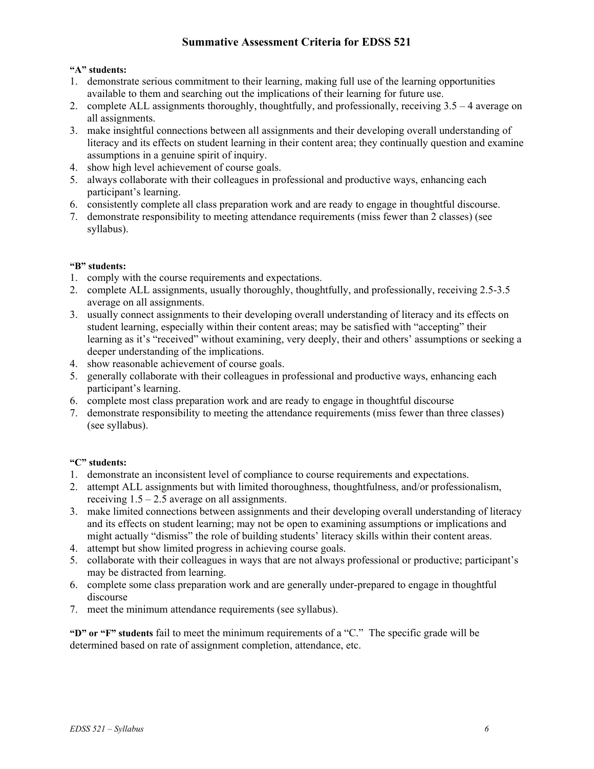# **Summative Assessment Criteria for EDSS 521**

#### **"A" students:**

- 1. demonstrate serious commitment to their learning, making full use of the learning opportunities available to them and searching out the implications of their learning for future use.
- 2. complete ALL assignments thoroughly, thoughtfully, and professionally, receiving 3.5 4 average on all assignments.
- 3. make insightful connections between all assignments and their developing overall understanding of literacy and its effects on student learning in their content area; they continually question and examine assumptions in a genuine spirit of inquiry.
- 4. show high level achievement of course goals.
- 5. always collaborate with their colleagues in professional and productive ways, enhancing each participant's learning.
- 6. consistently complete all class preparation work and are ready to engage in thoughtful discourse.
- 7. demonstrate responsibility to meeting attendance requirements (miss fewer than 2 classes) (see syllabus).

#### **"B" students:**

- 1. comply with the course requirements and expectations.
- 2. complete ALL assignments, usually thoroughly, thoughtfully, and professionally, receiving 2.5-3.5 average on all assignments.
- 3. usually connect assignments to their developing overall understanding of literacy and its effects on student learning, especially within their content areas; may be satisfied with "accepting" their learning as it's "received" without examining, very deeply, their and others' assumptions or seeking a deeper understanding of the implications.
- 4. show reasonable achievement of course goals.
- 5. generally collaborate with their colleagues in professional and productive ways, enhancing each participant's learning.
- 6. complete most class preparation work and are ready to engage in thoughtful discourse
- 7. demonstrate responsibility to meeting the attendance requirements (miss fewer than three classes) (see syllabus).

#### **"C" students:**

- 1. demonstrate an inconsistent level of compliance to course requirements and expectations.
- 2. attempt ALL assignments but with limited thoroughness, thoughtfulness, and/or professionalism, receiving  $1.5 - 2.5$  average on all assignments.
- 3. make limited connections between assignments and their developing overall understanding of literacy and its effects on student learning; may not be open to examining assumptions or implications and might actually "dismiss" the role of building students' literacy skills within their content areas.
- 4. attempt but show limited progress in achieving course goals.
- 5. collaborate with their colleagues in ways that are not always professional or productive; participant's may be distracted from learning.
- 6. complete some class preparation work and are generally under-prepared to engage in thoughtful discourse
- 7. meet the minimum attendance requirements (see syllabus).

**"D" or "F" students** fail to meet the minimum requirements of a "C." The specific grade will be determined based on rate of assignment completion, attendance, etc.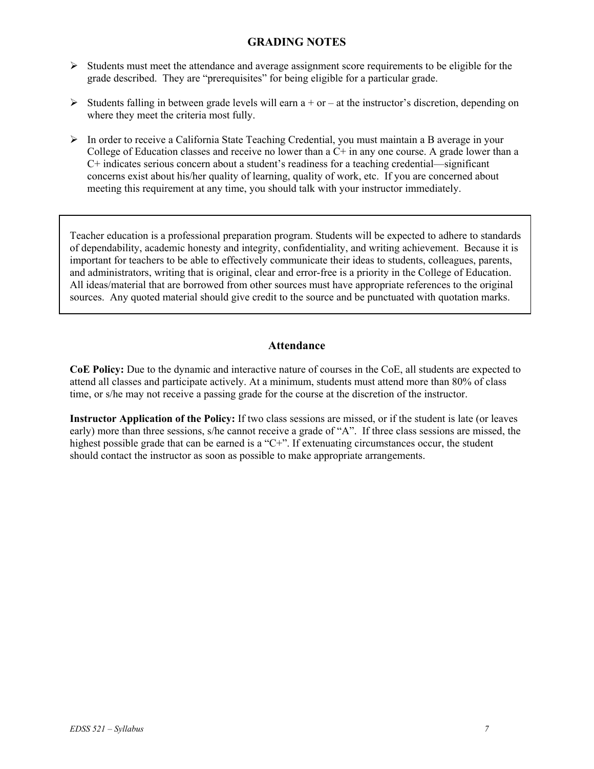#### **GRADING NOTES**

- $\triangleright$  Students must meet the attendance and average assignment score requirements to be eligible for the grade described. They are "prerequisites" for being eligible for a particular grade.
- $\triangleright$  Students falling in between grade levels will earn a + or at the instructor's discretion, depending on where they meet the criteria most fully.
- ¾ In order to receive a California State Teaching Credential, you must maintain a B average in your College of Education classes and receive no lower than a  $C<sup>+</sup>$  in any one course. A grade lower than a C+ indicates serious concern about a student's readiness for a teaching credential—significant concerns exist about his/her quality of learning, quality of work, etc. If you are concerned about meeting this requirement at any time, you should talk with your instructor immediately.

Teacher education is a professional preparation program. Students will be expected to adhere to standards of dependability, academic honesty and integrity, confidentiality, and writing achievement. Because it is important for teachers to be able to effectively communicate their ideas to students, colleagues, parents, and administrators, writing that is original, clear and error-free is a priority in the College of Education. All ideas/material that are borrowed from other sources must have appropriate references to the original sources. Any quoted material should give credit to the source and be punctuated with quotation marks.

#### **Attendance**

**CoE Policy:** Due to the dynamic and interactive nature of courses in the CoE, all students are expected to attend all classes and participate actively. At a minimum, students must attend more than 80% of class time, or s/he may not receive a passing grade for the course at the discretion of the instructor.

**Instructor Application of the Policy:** If two class sessions are missed, or if the student is late (or leaves early) more than three sessions, s/he cannot receive a grade of "A". If three class sessions are missed, the highest possible grade that can be earned is a "C+". If extenuating circumstances occur, the student should contact the instructor as soon as possible to make appropriate arrangements.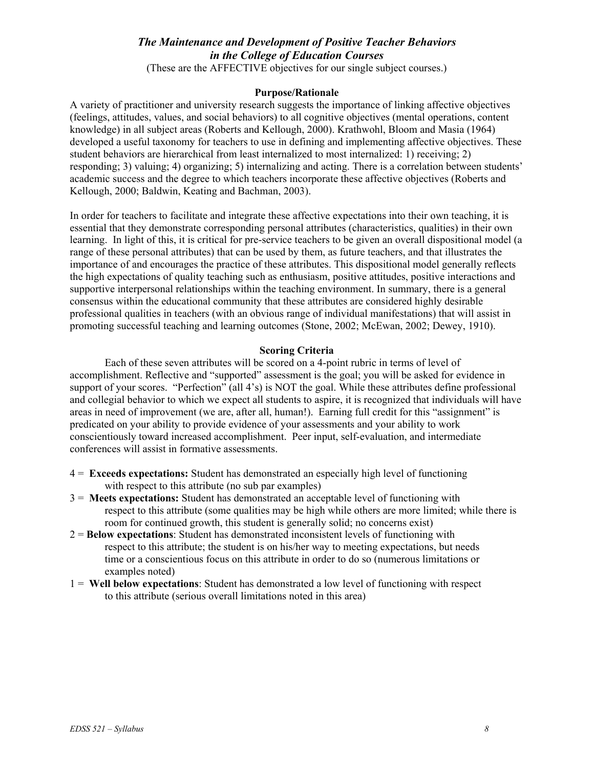# *The Maintenance and Development of Positive Teacher Behaviors in the College of Education Courses*

(These are the AFFECTIVE objectives for our single subject courses.)

#### **Purpose/Rationale**

A variety of practitioner and university research suggests the importance of linking affective objectives (feelings, attitudes, values, and social behaviors) to all cognitive objectives (mental operations, content knowledge) in all subject areas (Roberts and Kellough, 2000). Krathwohl, Bloom and Masia (1964) developed a useful taxonomy for teachers to use in defining and implementing affective objectives. These student behaviors are hierarchical from least internalized to most internalized: 1) receiving; 2) responding; 3) valuing; 4) organizing; 5) internalizing and acting. There is a correlation between students' academic success and the degree to which teachers incorporate these affective objectives (Roberts and Kellough, 2000; Baldwin, Keating and Bachman, 2003).

In order for teachers to facilitate and integrate these affective expectations into their own teaching, it is essential that they demonstrate corresponding personal attributes (characteristics, qualities) in their own learning. In light of this, it is critical for pre-service teachers to be given an overall dispositional model (a range of these personal attributes) that can be used by them, as future teachers, and that illustrates the importance of and encourages the practice of these attributes. This dispositional model generally reflects the high expectations of quality teaching such as enthusiasm, positive attitudes, positive interactions and supportive interpersonal relationships within the teaching environment. In summary, there is a general consensus within the educational community that these attributes are considered highly desirable professional qualities in teachers (with an obvious range of individual manifestations) that will assist in promoting successful teaching and learning outcomes (Stone, 2002; McEwan, 2002; Dewey, 1910).

#### **Scoring Criteria**

Each of these seven attributes will be scored on a 4-point rubric in terms of level of accomplishment. Reflective and "supported" assessment is the goal; you will be asked for evidence in support of your scores. "Perfection" (all 4's) is NOT the goal. While these attributes define professional and collegial behavior to which we expect all students to aspire, it is recognized that individuals will have areas in need of improvement (we are, after all, human!). Earning full credit for this "assignment" is predicated on your ability to provide evidence of your assessments and your ability to work conscientiously toward increased accomplishment. Peer input, self-evaluation, and intermediate conferences will assist in formative assessments.

- 4 = **Exceeds expectations:** Student has demonstrated an especially high level of functioning with respect to this attribute (no sub par examples)
- 3 = **Meets expectations:** Student has demonstrated an acceptable level of functioning with respect to this attribute (some qualities may be high while others are more limited; while there is room for continued growth, this student is generally solid; no concerns exist)
- 2 = **Below expectations**: Student has demonstrated inconsistent levels of functioning with respect to this attribute; the student is on his/her way to meeting expectations, but needs time or a conscientious focus on this attribute in order to do so (numerous limitations or examples noted)
- 1 = **Well below expectations**: Student has demonstrated a low level of functioning with respect to this attribute (serious overall limitations noted in this area)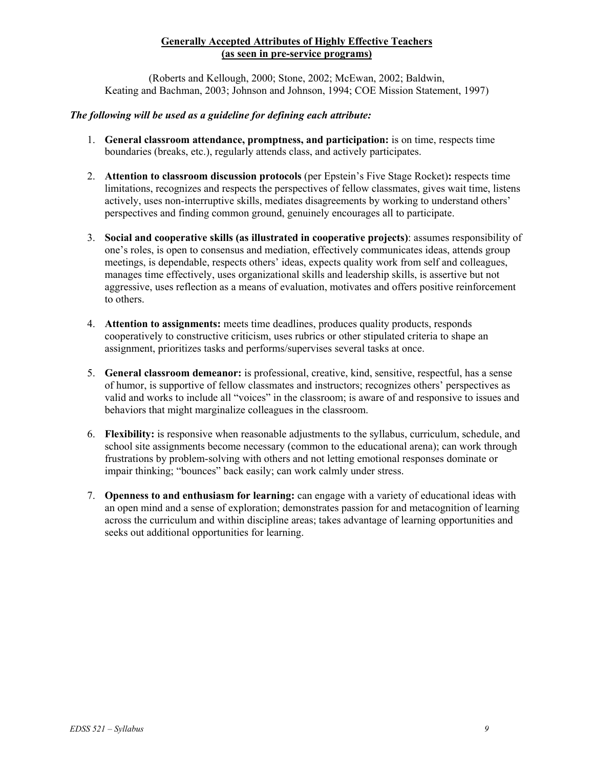#### **Generally Accepted Attributes of Highly Effective Teachers (as seen in pre-service programs)**

(Roberts and Kellough, 2000; Stone, 2002; McEwan, 2002; Baldwin, Keating and Bachman, 2003; Johnson and Johnson, 1994; COE Mission Statement, 1997)

#### *The following will be used as a guideline for defining each attribute:*

- 1. **General classroom attendance, promptness, and participation:** is on time, respects time boundaries (breaks, etc.), regularly attends class, and actively participates.
- 2. **Attention to classroom discussion protocols** (per Epstein's Five Stage Rocket)**:** respects time limitations, recognizes and respects the perspectives of fellow classmates, gives wait time, listens actively, uses non-interruptive skills, mediates disagreements by working to understand others' perspectives and finding common ground, genuinely encourages all to participate.
- 3. **Social and cooperative skills (as illustrated in cooperative projects)**: assumes responsibility of one's roles, is open to consensus and mediation, effectively communicates ideas, attends group meetings, is dependable, respects others' ideas, expects quality work from self and colleagues, manages time effectively, uses organizational skills and leadership skills, is assertive but not aggressive, uses reflection as a means of evaluation, motivates and offers positive reinforcement to others.
- 4. **Attention to assignments:** meets time deadlines, produces quality products, responds cooperatively to constructive criticism, uses rubrics or other stipulated criteria to shape an assignment, prioritizes tasks and performs/supervises several tasks at once.
- 5. **General classroom demeanor:** is professional, creative, kind, sensitive, respectful, has a sense of humor, is supportive of fellow classmates and instructors; recognizes others' perspectives as valid and works to include all "voices" in the classroom; is aware of and responsive to issues and behaviors that might marginalize colleagues in the classroom.
- 6. **Flexibility:** is responsive when reasonable adjustments to the syllabus, curriculum, schedule, and school site assignments become necessary (common to the educational arena); can work through frustrations by problem-solving with others and not letting emotional responses dominate or impair thinking; "bounces" back easily; can work calmly under stress.
- 7. **Openness to and enthusiasm for learning:** can engage with a variety of educational ideas with an open mind and a sense of exploration; demonstrates passion for and metacognition of learning across the curriculum and within discipline areas; takes advantage of learning opportunities and seeks out additional opportunities for learning.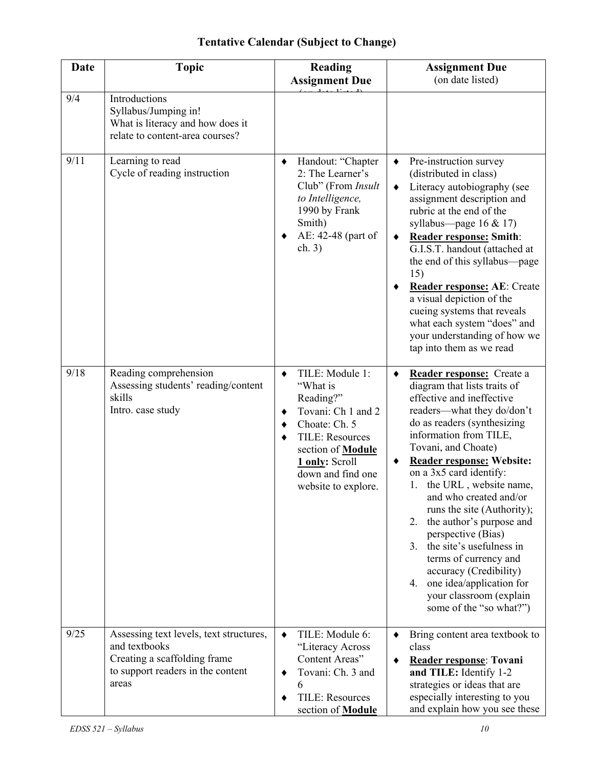# **Tentative Calendar (Subject to Change)**

| <b>Date</b> | <b>Topic</b>                                                                                                                           | <b>Reading</b><br><b>Assignment Due</b>                                                                                                                                                                                 | <b>Assignment Due</b><br>(on date listed)                                                                                                                                                                                                                                                                                                                                                                                                                                                                                                                                                                           |
|-------------|----------------------------------------------------------------------------------------------------------------------------------------|-------------------------------------------------------------------------------------------------------------------------------------------------------------------------------------------------------------------------|---------------------------------------------------------------------------------------------------------------------------------------------------------------------------------------------------------------------------------------------------------------------------------------------------------------------------------------------------------------------------------------------------------------------------------------------------------------------------------------------------------------------------------------------------------------------------------------------------------------------|
| 9/4         | Introductions<br>Syllabus/Jumping in!<br>What is literacy and how does it<br>relate to content-area courses?                           |                                                                                                                                                                                                                         |                                                                                                                                                                                                                                                                                                                                                                                                                                                                                                                                                                                                                     |
| 9/11        | Learning to read<br>Cycle of reading instruction                                                                                       | Handout: "Chapter<br>٠<br>2: The Learner's<br>Club" (From Insult<br>to Intelligence,<br>1990 by Frank<br>Smith)<br>AE: 42-48 (part of<br>٠<br>ch. 3)                                                                    | Pre-instruction survey<br>٠<br>(distributed in class)<br>Literacy autobiography (see<br>٠<br>assignment description and<br>rubric at the end of the<br>syllabus—page $16 & 17$ )<br><b>Reader response: Smith:</b><br>٠<br>G.I.S.T. handout (attached at<br>the end of this syllabus—page<br>15)<br>Reader response: AE: Create<br>a visual depiction of the<br>cueing systems that reveals<br>what each system "does" and<br>your understanding of how we<br>tap into them as we read                                                                                                                              |
| 9/18        | Reading comprehension<br>Assessing students' reading/content<br>skills<br>Intro. case study                                            | TILE: Module 1:<br>٠<br>"What is<br>Reading?"<br>Tovani: Ch 1 and 2<br>٠<br>Choate: Ch. 5<br>٠<br><b>TILE: Resources</b><br>٠<br>section of <b>Module</b><br>1 only: Scroll<br>down and find one<br>website to explore. | Reader response: Create a<br>٠<br>diagram that lists traits of<br>effective and ineffective<br>readers—what they do/don't<br>do as readers (synthesizing<br>information from TILE,<br>Tovani, and Choate)<br><b>Reader response: Website:</b><br>٠<br>on a 3x5 card identify:<br>1. the URL, website name,<br>and who created and/or<br>runs the site (Authority);<br>the author's purpose and<br>2.<br>perspective (Bias)<br>the site's usefulness in<br>3 <sub>1</sub><br>terms of currency and<br>accuracy (Credibility)<br>one idea/application for<br>4.<br>your classroom (explain<br>some of the "so what?") |
| 9/25        | Assessing text levels, text structures,<br>and textbooks<br>Creating a scaffolding frame<br>to support readers in the content<br>areas | TILE: Module 6:<br>$\blacklozenge$<br>"Literacy Across<br>Content Areas"<br>Tovani: Ch. 3 and<br>٠<br>6<br><b>TILE: Resources</b><br>٠<br>section of <b>Module</b>                                                      | Bring content area textbook to<br>class<br>Reader response: Tovani<br>٠<br>and TILE: Identify 1-2<br>strategies or ideas that are<br>especially interesting to you<br>and explain how you see these                                                                                                                                                                                                                                                                                                                                                                                                                 |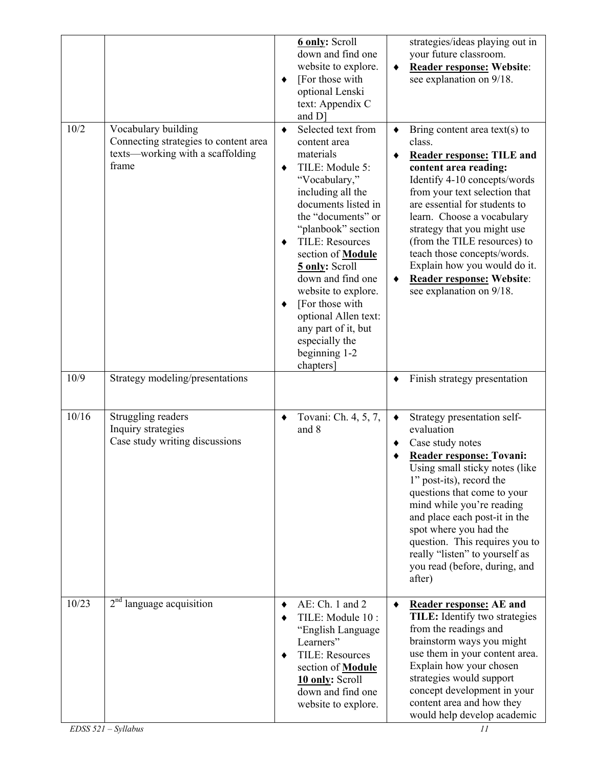|              |                                                                                                                                              | ٠                | <b>6 only:</b> Scroll<br>down and find one<br>website to explore.<br>[For those with<br>optional Lenski<br>text: Appendix C<br>and D]                                                                                                                                                                                                                                                                             |           | strategies/ideas playing out in<br>your future classroom.<br>Reader response: Website:<br>see explanation on 9/18.                                                                                                                                                                                                                                                                                                                                          |
|--------------|----------------------------------------------------------------------------------------------------------------------------------------------|------------------|-------------------------------------------------------------------------------------------------------------------------------------------------------------------------------------------------------------------------------------------------------------------------------------------------------------------------------------------------------------------------------------------------------------------|-----------|-------------------------------------------------------------------------------------------------------------------------------------------------------------------------------------------------------------------------------------------------------------------------------------------------------------------------------------------------------------------------------------------------------------------------------------------------------------|
| 10/2<br>10/9 | Vocabulary building<br>Connecting strategies to content area<br>texts—working with a scaffolding<br>frame<br>Strategy modeling/presentations | ٠<br>٠<br>٠<br>٠ | Selected text from<br>content area<br>materials<br>TILE: Module 5:<br>"Vocabulary,"<br>including all the<br>documents listed in<br>the "documents" or<br>"planbook" section<br><b>TILE: Resources</b><br>section of <b>Module</b><br>5 only: Scroll<br>down and find one<br>website to explore.<br>[For those with<br>optional Allen text:<br>any part of it, but<br>especially the<br>beginning 1-2<br>chapters] |           | Bring content area text(s) to<br>class.<br><b>Reader response: TILE and</b><br>content area reading:<br>Identify 4-10 concepts/words<br>from your text selection that<br>are essential for students to<br>learn. Choose a vocabulary<br>strategy that you might use<br>(from the TILE resources) to<br>teach those concepts/words.<br>Explain how you would do it.<br>Reader response: Website:<br>see explanation on 9/18.<br>Finish strategy presentation |
| 10/16        | Struggling readers<br>Inquiry strategies<br>Case study writing discussions                                                                   | $\blacklozenge$  | Tovani: Ch. 4, 5, 7,<br>and 8                                                                                                                                                                                                                                                                                                                                                                                     | ٠         | Strategy presentation self-<br>evaluation<br>Case study notes<br>Reader response: Tovani:<br>Using small sticky notes (like)<br>1" post-its), record the<br>questions that come to your<br>mind while you're reading<br>and place each post-it in the<br>spot where you had the<br>question. This requires you to<br>really "listen" to yourself as<br>you read (before, during, and                                                                        |
| 10/23        | $2nd$ language acquisition                                                                                                                   | ٠<br>٠           | AE: Ch. 1 and 2<br>TILE: Module 10 :<br>"English Language<br>Learners"<br><b>TILE: Resources</b><br>section of <b>Module</b><br>10 only: Scroll<br>down and find one<br>website to explore.                                                                                                                                                                                                                       | $\bullet$ | after)<br><b>Reader response: AE and</b><br>TILE: Identify two strategies<br>from the readings and<br>brainstorm ways you might<br>use them in your content area.<br>Explain how your chosen<br>strategies would support<br>concept development in your<br>content area and how they<br>would help develop academic                                                                                                                                         |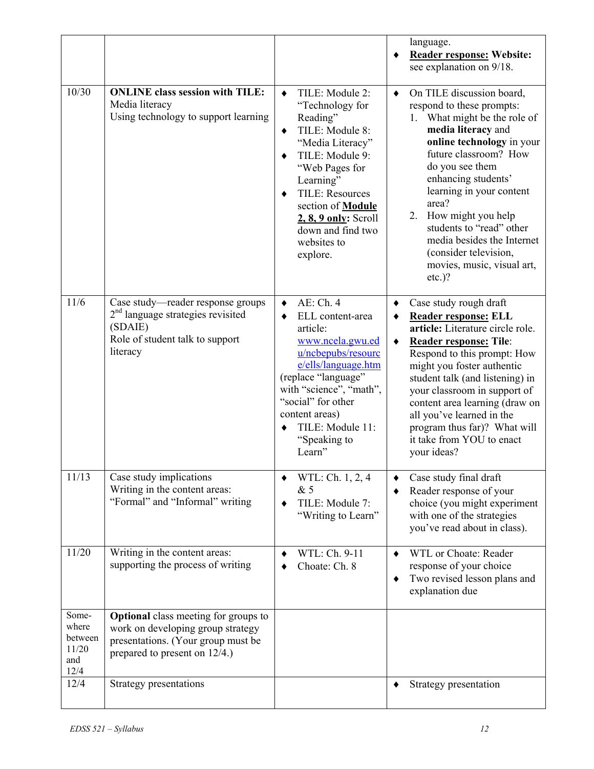|                                                   |                                                                                                                                                            |                                                                                                                                                                                                                                                                                                                           | language.<br><b>Reader response: Website:</b><br>٠<br>see explanation on 9/18.                                                                                                                                                                                                                                                                                                                                        |
|---------------------------------------------------|------------------------------------------------------------------------------------------------------------------------------------------------------------|---------------------------------------------------------------------------------------------------------------------------------------------------------------------------------------------------------------------------------------------------------------------------------------------------------------------------|-----------------------------------------------------------------------------------------------------------------------------------------------------------------------------------------------------------------------------------------------------------------------------------------------------------------------------------------------------------------------------------------------------------------------|
| 10/30                                             | <b>ONLINE</b> class session with TILE:<br>Media literacy<br>Using technology to support learning                                                           | TILE: Module 2:<br>$\bullet$<br>"Technology for<br>Reading"<br>TILE: Module 8:<br>$\blacklozenge$<br>"Media Literacy"<br>TILE: Module 9:<br>$\bullet$<br>"Web Pages for<br>Learning"<br><b>TILE: Resources</b><br>٠<br>section of <b>Module</b><br>$2, 8, 9$ only: Scroll<br>down and find two<br>websites to<br>explore. | On TILE discussion board,<br>٠<br>respond to these prompts:<br>1. What might be the role of<br>media literacy and<br>online technology in your<br>future classroom? How<br>do you see them<br>enhancing students'<br>learning in your content<br>area?<br>2. How might you help<br>students to "read" other<br>media besides the Internet<br>(consider television,<br>movies, music, visual art,<br>$etc.$ )?         |
| 11/6                                              | Case study-reader response groups<br>$2nd$ language strategies revisited<br>(SDAIE)<br>Role of student talk to support<br>literacy                         | AE: Ch. 4<br>$\blacklozenge$<br>ELL content-area<br>٠<br>article:<br>www.ncela.gwu.ed<br>u/ncbepubs/resourc<br>e/ells/language.htm<br>(replace "language"<br>with "science", "math",<br>"social" for other<br>content areas)<br>TILE: Module 11:<br>$\bullet$<br>"Speaking to<br>Learn"                                   | Case study rough draft<br>٠<br>Reader response: ELL<br>٠<br>article: Literature circle role.<br><b>Reader response: Tile:</b><br>$\bullet$<br>Respond to this prompt: How<br>might you foster authentic<br>student talk (and listening) in<br>your classroom in support of<br>content area learning (draw on<br>all you've learned in the<br>program thus far)? What will<br>it take from YOU to enact<br>your ideas? |
| 11/13                                             | Case study implications<br>Writing in the content areas:<br>"Formal" and "Informal" writing                                                                | WTL: Ch. 1, 2, 4<br>&5<br>TILE: Module 7:<br>٠<br>"Writing to Learn"                                                                                                                                                                                                                                                      | Case study final draft<br>Reader response of your<br>choice (you might experiment<br>with one of the strategies<br>you've read about in class).                                                                                                                                                                                                                                                                       |
| 11/20                                             | Writing in the content areas:<br>supporting the process of writing                                                                                         | WTL: Ch. 9-11<br>Choate: Ch. 8                                                                                                                                                                                                                                                                                            | WTL or Choate: Reader<br>$\bullet$<br>response of your choice<br>Two revised lesson plans and<br>٠<br>explanation due                                                                                                                                                                                                                                                                                                 |
| Some-<br>where<br>between<br>11/20<br>and<br>12/4 | <b>Optional</b> class meeting for groups to<br>work on developing group strategy<br>presentations. (Your group must be<br>prepared to present on $12/4$ .) |                                                                                                                                                                                                                                                                                                                           |                                                                                                                                                                                                                                                                                                                                                                                                                       |
| 12/4                                              | Strategy presentations                                                                                                                                     |                                                                                                                                                                                                                                                                                                                           | Strategy presentation<br>٠                                                                                                                                                                                                                                                                                                                                                                                            |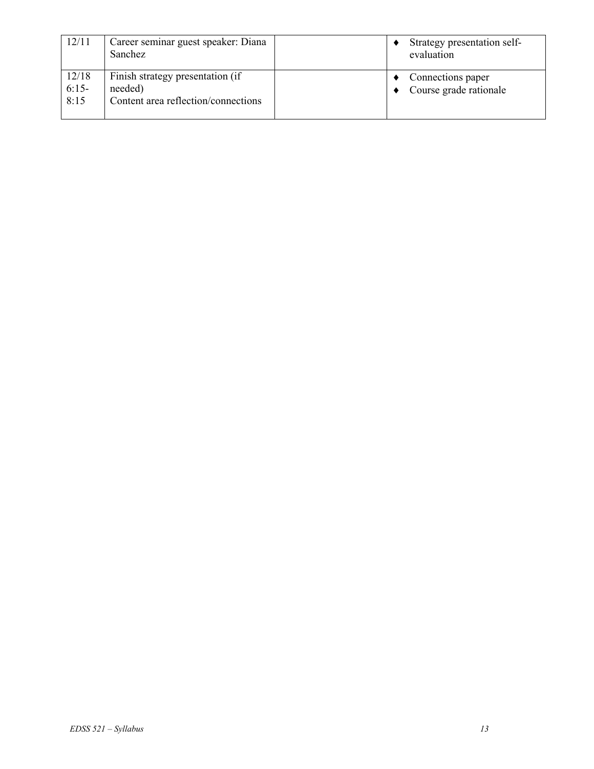| 12/11                    | Career seminar guest speaker: Diana<br>Sanchez                                     | Strategy presentation self-<br>evaluation   |
|--------------------------|------------------------------------------------------------------------------------|---------------------------------------------|
| 12/18<br>$6:15-$<br>8:15 | Finish strategy presentation (if<br>needed)<br>Content area reflection/connections | Connections paper<br>Course grade rationale |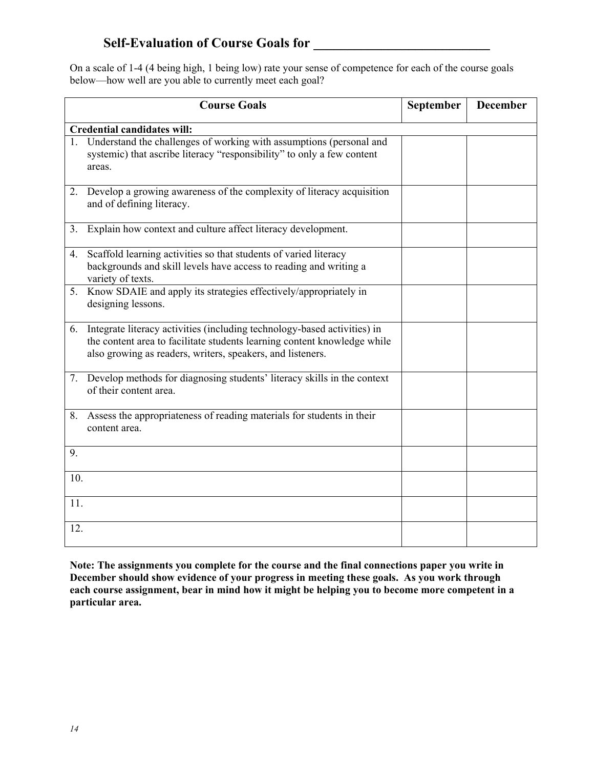# Self-Evaluation of Course Goals for

On a scale of 1-4 (4 being high, 1 being low) rate your sense of competence for each of the course goals below—how well are you able to currently meet each goal?

|     | <b>Course Goals</b>                                                                                                                                                                                                | September | <b>December</b> |
|-----|--------------------------------------------------------------------------------------------------------------------------------------------------------------------------------------------------------------------|-----------|-----------------|
|     | <b>Credential candidates will:</b>                                                                                                                                                                                 |           |                 |
|     | 1. Understand the challenges of working with assumptions (personal and<br>systemic) that ascribe literacy "responsibility" to only a few content<br>areas.                                                         |           |                 |
| 2.  | Develop a growing awareness of the complexity of literacy acquisition<br>and of defining literacy.                                                                                                                 |           |                 |
| 3.  | Explain how context and culture affect literacy development.                                                                                                                                                       |           |                 |
|     | 4. Scaffold learning activities so that students of varied literacy<br>backgrounds and skill levels have access to reading and writing a<br>variety of texts.                                                      |           |                 |
|     | 5. Know SDAIE and apply its strategies effectively/appropriately in<br>designing lessons.                                                                                                                          |           |                 |
| 6.  | Integrate literacy activities (including technology-based activities) in<br>the content area to facilitate students learning content knowledge while<br>also growing as readers, writers, speakers, and listeners. |           |                 |
| 7.  | Develop methods for diagnosing students' literacy skills in the context<br>of their content area.                                                                                                                  |           |                 |
| 8.  | Assess the appropriateness of reading materials for students in their<br>content area.                                                                                                                             |           |                 |
| 9.  |                                                                                                                                                                                                                    |           |                 |
| 10. |                                                                                                                                                                                                                    |           |                 |
| 11. |                                                                                                                                                                                                                    |           |                 |
| 12. |                                                                                                                                                                                                                    |           |                 |

**Note: The assignments you complete for the course and the final connections paper you write in December should show evidence of your progress in meeting these goals. As you work through each course assignment, bear in mind how it might be helping you to become more competent in a particular area.**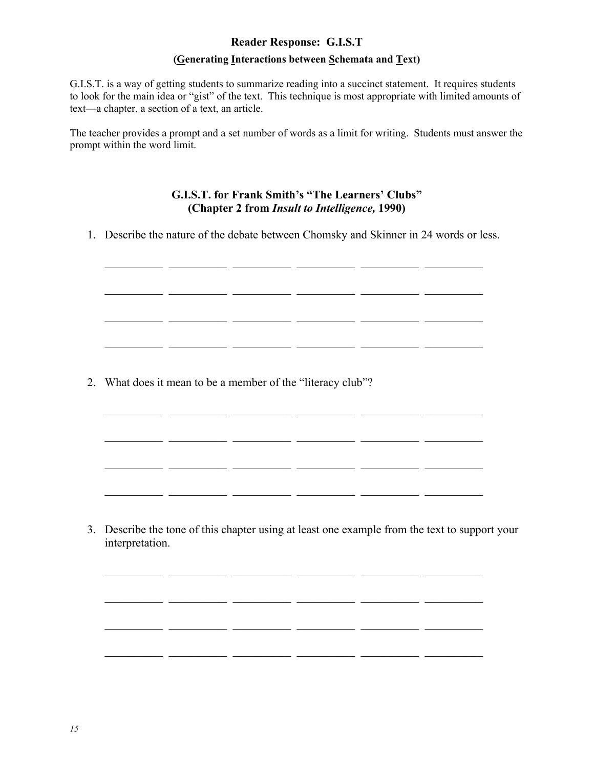# **Reader Response: G.I.S.T (Generating Interactions between Schemata and Text)**

G.I.S.T. is a way of getting students to summarize reading into a succinct statement. It requires students to look for the main idea or "gist" of the text. This technique is most appropriate with limited amounts of text—a chapter, a section of a text, an article.

The teacher provides a prompt and a set number of words as a limit for writing. Students must answer the prompt within the word limit.

# **G.I.S.T. for Frank Smith's "The Learners' Clubs" (Chapter 2 from** *Insult to Intelligence,* **1990)**

1. Describe the nature of the debate between Chomsky and Skinner in 24 words or less.

 $\overline{\phantom{a}}$  , and the set of the set of the set of the set of the set of the set of the set of the set of the set of the set of the set of the set of the set of the set of the set of the set of the set of the set of the s

\_\_\_\_\_\_\_\_\_\_ \_\_\_\_\_\_\_\_\_\_ \_\_\_\_\_\_\_\_\_\_ \_\_\_\_\_\_\_\_\_\_ \_\_\_\_\_\_\_\_\_\_ \_\_\_\_\_\_\_\_\_\_

\_\_\_\_\_\_\_\_\_\_ \_\_\_\_\_\_\_\_\_\_ \_\_\_\_\_\_\_\_\_\_ \_\_\_\_\_\_\_\_\_\_ \_\_\_\_\_\_\_\_\_\_ \_\_\_\_\_\_\_\_\_\_

 $\mathcal{L}_\text{max} = \frac{1}{2} \sum_{i=1}^n \mathcal{L}_\text{max}(\mathbf{z}_i - \mathbf{z}_i)$ 

 $\mathcal{L}_\text{max} = \frac{1}{2} \sum_{i=1}^{n} \frac{1}{2} \sum_{i=1}^{n} \frac{1}{2} \sum_{i=1}^{n} \frac{1}{2} \sum_{i=1}^{n} \frac{1}{2} \sum_{i=1}^{n} \frac{1}{2} \sum_{i=1}^{n} \frac{1}{2} \sum_{i=1}^{n} \frac{1}{2} \sum_{i=1}^{n} \frac{1}{2} \sum_{i=1}^{n} \frac{1}{2} \sum_{i=1}^{n} \frac{1}{2} \sum_{i=1}^{n} \frac{1}{2} \sum_{i=1}^{n} \frac{1$ 

 $\mathcal{L}_\text{max} = \frac{1}{2} \sum_{i=1}^{n} \frac{1}{2} \sum_{i=1}^{n} \frac{1}{2} \sum_{i=1}^{n} \frac{1}{2} \sum_{i=1}^{n} \frac{1}{2} \sum_{i=1}^{n} \frac{1}{2} \sum_{i=1}^{n} \frac{1}{2} \sum_{i=1}^{n} \frac{1}{2} \sum_{i=1}^{n} \frac{1}{2} \sum_{i=1}^{n} \frac{1}{2} \sum_{i=1}^{n} \frac{1}{2} \sum_{i=1}^{n} \frac{1}{2} \sum_{i=1}^{n} \frac{1$ 

 $\frac{1}{2}$  ,  $\frac{1}{2}$  ,  $\frac{1}{2}$  ,  $\frac{1}{2}$  ,  $\frac{1}{2}$  ,  $\frac{1}{2}$  ,  $\frac{1}{2}$  ,  $\frac{1}{2}$  ,  $\frac{1}{2}$  ,  $\frac{1}{2}$  ,  $\frac{1}{2}$  ,  $\frac{1}{2}$  ,  $\frac{1}{2}$  ,  $\frac{1}{2}$  ,  $\frac{1}{2}$  ,  $\frac{1}{2}$  ,  $\frac{1}{2}$  ,  $\frac{1}{2}$  ,  $\frac{1$ 

\_\_\_\_\_\_\_\_\_\_ \_\_\_\_\_\_\_\_\_\_ \_\_\_\_\_\_\_\_\_\_ \_\_\_\_\_\_\_\_\_\_ \_\_\_\_\_\_\_\_\_\_ \_\_\_\_\_\_\_\_\_\_

\_\_\_\_\_\_\_\_\_\_ \_\_\_\_\_\_\_\_\_\_ \_\_\_\_\_\_\_\_\_\_ \_\_\_\_\_\_\_\_\_\_ \_\_\_\_\_\_\_\_\_\_ \_\_\_\_\_\_\_\_\_\_

2. What does it mean to be a member of the "literacy club"?

3. Describe the tone of this chapter using at least one example from the text to support your interpretation.

\_\_\_\_\_\_\_\_\_\_ \_\_\_\_\_\_\_\_\_\_ \_\_\_\_\_\_\_\_\_\_ \_\_\_\_\_\_\_\_\_\_ \_\_\_\_\_\_\_\_\_\_ \_\_\_\_\_\_\_\_\_\_

\_\_\_\_\_\_\_\_\_\_ \_\_\_\_\_\_\_\_\_\_ \_\_\_\_\_\_\_\_\_\_ \_\_\_\_\_\_\_\_\_\_ \_\_\_\_\_\_\_\_\_\_ \_\_\_\_\_\_\_\_\_\_

\_\_\_\_\_\_\_\_\_\_ \_\_\_\_\_\_\_\_\_\_ \_\_\_\_\_\_\_\_\_\_ \_\_\_\_\_\_\_\_\_\_ \_\_\_\_\_\_\_\_\_\_ \_\_\_\_\_\_\_\_\_\_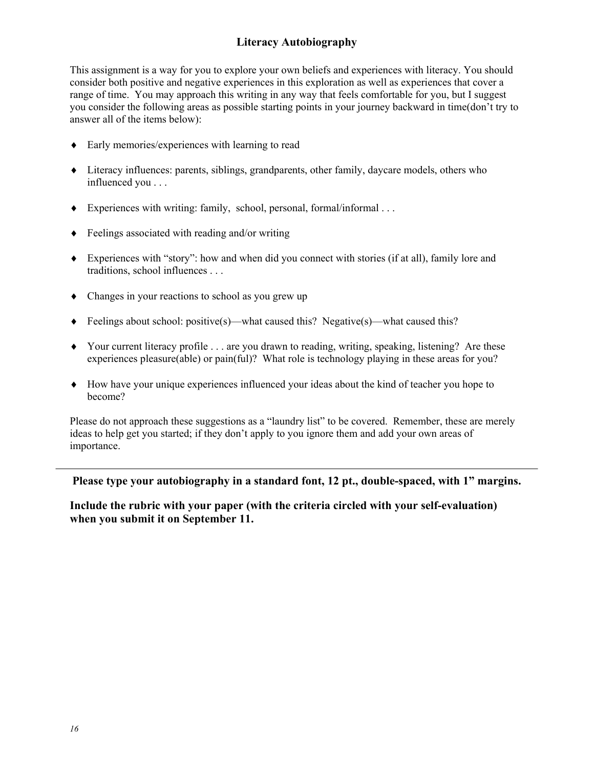# **Literacy Autobiography**

This assignment is a way for you to explore your own beliefs and experiences with literacy. You should consider both positive and negative experiences in this exploration as well as experiences that cover a range of time. You may approach this writing in any way that feels comfortable for you, but I suggest you consider the following areas as possible starting points in your journey backward in time(don't try to answer all of the items below):

- ♦ Early memories/experiences with learning to read
- ♦ Literacy influences: parents, siblings, grandparents, other family, daycare models, others who influenced you . . .
- $\blacklozenge$  Experiences with writing: family, school, personal, formal/informal ...
- ♦ Feelings associated with reading and/or writing
- ♦ Experiences with "story": how and when did you connect with stories (if at all), family lore and traditions, school influences . . .
- ♦ Changes in your reactions to school as you grew up
- $\blacklozenge$  Feelings about school: positive(s)—what caused this? Negative(s)—what caused this?
- ♦ Your current literacy profile . . . are you drawn to reading, writing, speaking, listening? Are these experiences pleasure(able) or pain(ful)? What role is technology playing in these areas for you?
- ♦ How have your unique experiences influenced your ideas about the kind of teacher you hope to become?

Please do not approach these suggestions as a "laundry list" to be covered. Remember, these are merely ideas to help get you started; if they don't apply to you ignore them and add your own areas of importance.

**Please type your autobiography in a standard font, 12 pt., double-spaced, with 1" margins.** 

**Include the rubric with your paper (with the criteria circled with your self-evaluation) when you submit it on September 11.**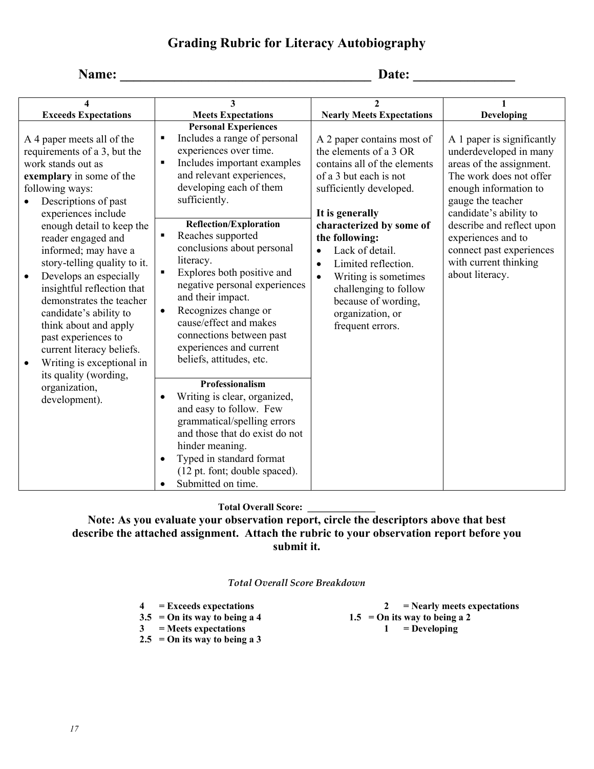# **Grading Rubric for Literacy Autobiography**

# **Name: \_\_\_\_\_\_\_\_\_\_\_\_\_\_\_\_\_\_\_\_\_\_\_\_\_\_\_\_\_\_\_\_\_\_\_\_\_ Date: \_\_\_\_\_\_\_\_\_\_\_\_\_\_\_**

| 4                                                                                                                                                                                                                                                                                                                                                                                                                                                                                                                                                                                                      | 3                                                                                                                                                                                                                                                                                                                                                                                                                                                                                                                                                                                                                                                                                                                                                                                                                                                                                           | $\mathbf{2}$                                                                                                                                                                                                                                                                                                                                                                                                |                                                                                                                                                                                                                                                                                                                |
|--------------------------------------------------------------------------------------------------------------------------------------------------------------------------------------------------------------------------------------------------------------------------------------------------------------------------------------------------------------------------------------------------------------------------------------------------------------------------------------------------------------------------------------------------------------------------------------------------------|---------------------------------------------------------------------------------------------------------------------------------------------------------------------------------------------------------------------------------------------------------------------------------------------------------------------------------------------------------------------------------------------------------------------------------------------------------------------------------------------------------------------------------------------------------------------------------------------------------------------------------------------------------------------------------------------------------------------------------------------------------------------------------------------------------------------------------------------------------------------------------------------|-------------------------------------------------------------------------------------------------------------------------------------------------------------------------------------------------------------------------------------------------------------------------------------------------------------------------------------------------------------------------------------------------------------|----------------------------------------------------------------------------------------------------------------------------------------------------------------------------------------------------------------------------------------------------------------------------------------------------------------|
| <b>Exceeds Expectations</b>                                                                                                                                                                                                                                                                                                                                                                                                                                                                                                                                                                            | <b>Meets Expectations</b>                                                                                                                                                                                                                                                                                                                                                                                                                                                                                                                                                                                                                                                                                                                                                                                                                                                                   | <b>Nearly Meets Expectations</b>                                                                                                                                                                                                                                                                                                                                                                            | Developing                                                                                                                                                                                                                                                                                                     |
| A 4 paper meets all of the<br>requirements of a 3, but the<br>work stands out as<br>exemplary in some of the<br>following ways:<br>Descriptions of past<br>experiences include<br>enough detail to keep the<br>reader engaged and<br>informed; may have a<br>story-telling quality to it.<br>Develops an especially<br>$\bullet$<br>insightful reflection that<br>demonstrates the teacher<br>candidate's ability to<br>think about and apply<br>past experiences to<br>current literacy beliefs.<br>Writing is exceptional in<br>$\bullet$<br>its quality (wording,<br>organization,<br>development). | <b>Personal Experiences</b><br>Includes a range of personal<br>$\blacksquare$<br>experiences over time.<br>Includes important examples<br>$\blacksquare$<br>and relevant experiences,<br>developing each of them<br>sufficiently.<br><b>Reflection/Exploration</b><br>Reaches supported<br>$\blacksquare$<br>conclusions about personal<br>literacy.<br>Explores both positive and<br>$\blacksquare$<br>negative personal experiences<br>and their impact.<br>Recognizes change or<br>$\bullet$<br>cause/effect and makes<br>connections between past<br>experiences and current<br>beliefs, attitudes, etc.<br>Professionalism<br>Writing is clear, organized,<br>$\bullet$<br>and easy to follow. Few<br>grammatical/spelling errors<br>and those that do exist do not<br>hinder meaning.<br>Typed in standard format<br>$\bullet$<br>(12 pt. font; double spaced).<br>Submitted on time. | A 2 paper contains most of<br>the elements of a 3 OR<br>contains all of the elements<br>of a 3 but each is not<br>sufficiently developed.<br>It is generally<br>characterized by some of<br>the following:<br>Lack of detail.<br>$\bullet$<br>Limited reflection.<br>$\bullet$<br>Writing is sometimes<br>$\bullet$<br>challenging to follow<br>because of wording,<br>organization, or<br>frequent errors. | A 1 paper is significantly<br>underdeveloped in many<br>areas of the assignment.<br>The work does not offer<br>enough information to<br>gauge the teacher<br>candidate's ability to<br>describe and reflect upon<br>experiences and to<br>connect past experiences<br>with current thinking<br>about literacy. |

#### **Total Overall Score: \_\_\_\_\_\_\_\_\_\_\_\_\_\_**

**2.5 = On its way to being a 3** 

**Note: As you evaluate your observation report, circle the descriptors above that best describe the attached assignment. Attach the rubric to your observation report before you submit it.** 

#### *Total Overall Score Breakdown*

| $4 =$ Exceeds expectations      | = Nearly meets expectations     |
|---------------------------------|---------------------------------|
| $3.5 = On$ its way to being a 4 | $1.5$ = On its way to being a 2 |
| $3 =$ Meets expectations        | $=$ Developing                  |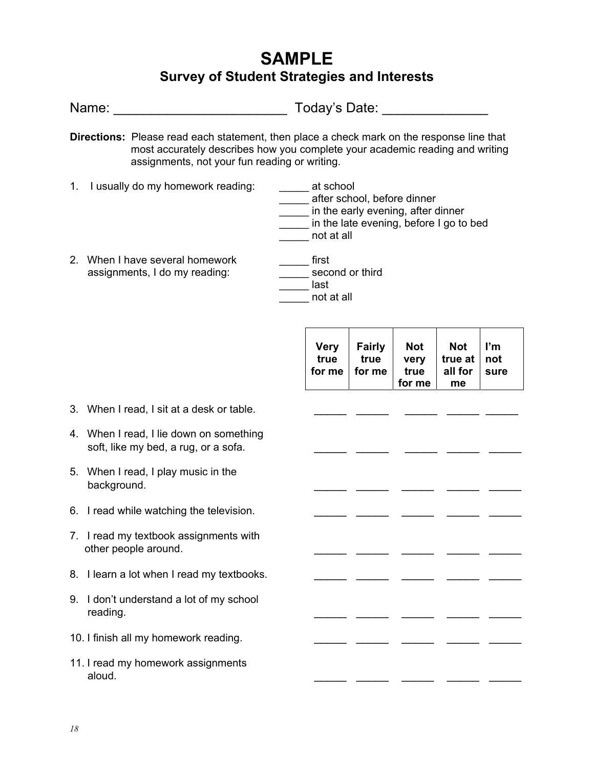# **SAMPLE Survey of Student Strategies and Interests**

|    |                                                                                                                                                                                                                                   | Today's Date: National Product of Today's Date:                                                                                         |                                 |                                      |                                        |                   |
|----|-----------------------------------------------------------------------------------------------------------------------------------------------------------------------------------------------------------------------------------|-----------------------------------------------------------------------------------------------------------------------------------------|---------------------------------|--------------------------------------|----------------------------------------|-------------------|
|    | <b>Directions:</b> Please read each statement, then place a check mark on the response line that<br>most accurately describes how you complete your academic reading and writing<br>assignments, not your fun reading or writing. |                                                                                                                                         |                                 |                                      |                                        |                   |
|    | 1. I usually do my homework reading:                                                                                                                                                                                              | at school<br>after school, before dinner<br>in the early evening, after dinner<br>in the late evening, before I go to bed<br>not at all |                                 |                                      |                                        |                   |
|    | 2. When I have several homework<br>assignments, I do my reading:                                                                                                                                                                  | first<br>second or third<br>__ last<br>not at all                                                                                       |                                 |                                      |                                        |                   |
|    |                                                                                                                                                                                                                                   | <b>Very</b><br>true<br>for me                                                                                                           | <b>Fairly</b><br>true<br>for me | <b>Not</b><br>very<br>true<br>for me | <b>Not</b><br>true at<br>all for<br>me | ľm<br>not<br>sure |
|    | 3. When I read, I sit at a desk or table.                                                                                                                                                                                         |                                                                                                                                         |                                 |                                      |                                        |                   |
|    | 4. When I read, I lie down on something<br>soft, like my bed, a rug, or a sofa.                                                                                                                                                   |                                                                                                                                         |                                 |                                      |                                        |                   |
|    | 5. When I read, I play music in the<br>background.                                                                                                                                                                                |                                                                                                                                         |                                 |                                      |                                        |                   |
|    | 6. I read while watching the television.                                                                                                                                                                                          |                                                                                                                                         |                                 |                                      |                                        |                   |
|    | 7. I read my textbook assignments with<br>other people around.                                                                                                                                                                    |                                                                                                                                         |                                 |                                      |                                        |                   |
|    | 8. I learn a lot when I read my textbooks.                                                                                                                                                                                        |                                                                                                                                         |                                 |                                      |                                        |                   |
| 9. | I don't understand a lot of my school<br>reading.                                                                                                                                                                                 |                                                                                                                                         |                                 |                                      |                                        |                   |
|    | 10. I finish all my homework reading.                                                                                                                                                                                             |                                                                                                                                         |                                 |                                      |                                        |                   |
|    | 11. I read my homework assignments<br>aloud.                                                                                                                                                                                      |                                                                                                                                         |                                 |                                      |                                        |                   |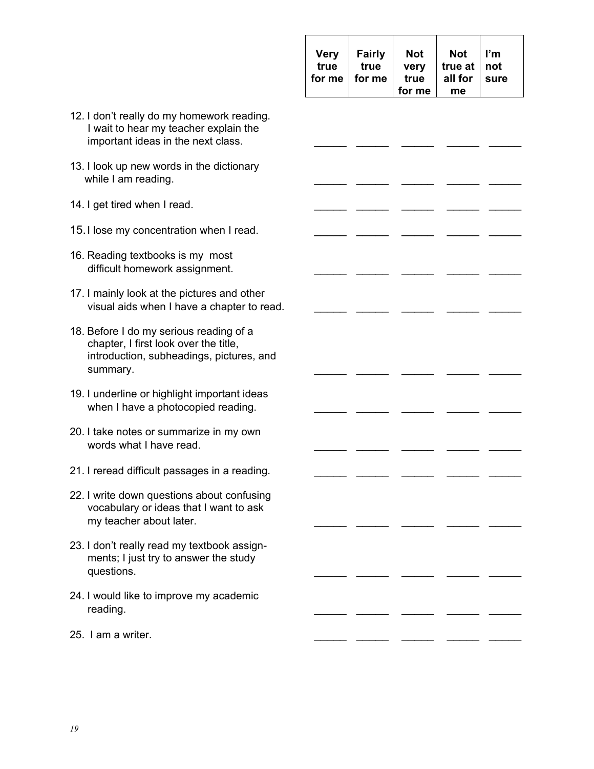| <b>Very</b><br>true | <b>Fairly</b><br>true | <b>Not</b><br>very | <b>Not</b><br>true at $ $ not | l'm |
|---------------------|-----------------------|--------------------|-------------------------------|-----|
|                     | for me $\vert$ for me | true               | all for $ $ sure              |     |
|                     |                       | for me             | me                            |     |

- 12. I don't really do my homework reading. I wait to hear my teacher explain the important ideas in the next class.
- 13. I look up new words in the dictionary while I am reading.
- 14. I get tired when I read.
- 15. I lose my concentration when I read.
- 16. Reading textbooks is my most difficult homework assignment.
- 17. I mainly look at the pictures and other visual aids when I have a chapter to read.
- 18. Before I do my serious reading of a chapter, I first look over the title, introduction, subheadings, pictures, and summary. \_\_\_\_\_ \_\_\_\_\_ \_\_\_\_\_ \_\_\_\_\_ \_\_\_\_\_
- 19. I underline or highlight important ideas when I have a photocopied reading.  $\frac{1}{2}$  \_\_\_\_\_\_\_ \_
- 20. I take notes or summarize in my own words what I have read.
- 21. I reread difficult passages in a reading.
- 22. I write down questions about confusing vocabulary or ideas that I want to ask my teacher about later.
- 23. I don't really read my textbook assign ments; I just try to answer the study questions. \_\_\_\_\_ \_\_\_\_\_ \_\_\_\_\_ \_\_\_\_\_ \_\_\_\_\_
- 24. I would like to improve my academic reading. \_\_\_\_\_ \_\_\_\_\_ \_\_\_\_\_ \_\_\_\_\_ \_\_\_\_\_
- 25. I am a writer.  $\frac{1}{2}$  writer.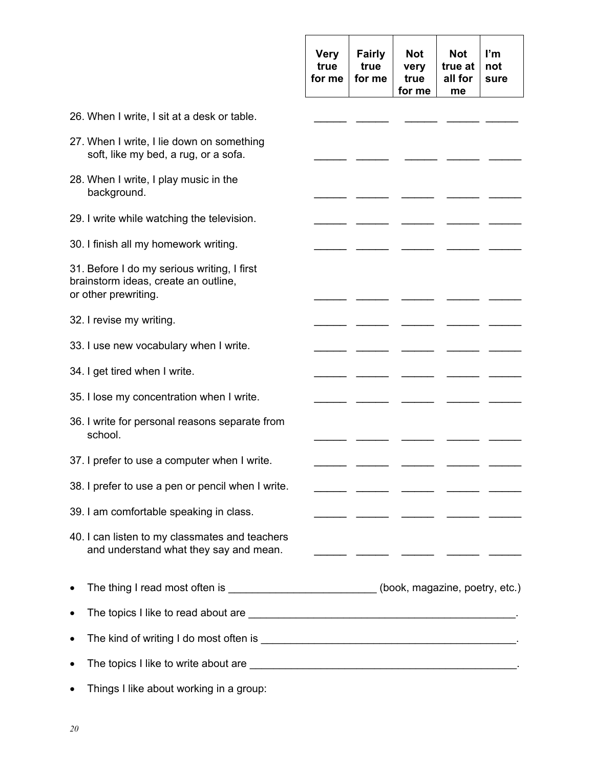|                                                                                                             | <b>Very</b><br>true<br>for me | <b>Fairly</b><br>true<br>for me | <b>Not</b><br>very<br>true<br>for me | <b>Not</b><br>true at<br>all for<br>me | ľm<br>not<br>sure |
|-------------------------------------------------------------------------------------------------------------|-------------------------------|---------------------------------|--------------------------------------|----------------------------------------|-------------------|
| 26. When I write, I sit at a desk or table.                                                                 |                               |                                 |                                      |                                        |                   |
| 27. When I write, I lie down on something<br>soft, like my bed, a rug, or a sofa.                           |                               |                                 |                                      |                                        |                   |
| 28. When I write, I play music in the<br>background.                                                        |                               |                                 |                                      |                                        |                   |
| 29. I write while watching the television.                                                                  |                               |                                 |                                      |                                        |                   |
| 30. I finish all my homework writing.                                                                       |                               |                                 |                                      |                                        |                   |
| 31. Before I do my serious writing, I first<br>brainstorm ideas, create an outline,<br>or other prewriting. |                               |                                 |                                      |                                        |                   |
| 32. I revise my writing.                                                                                    |                               |                                 |                                      |                                        |                   |
| 33. I use new vocabulary when I write.                                                                      |                               |                                 |                                      |                                        |                   |
| 34. I get tired when I write.                                                                               |                               |                                 |                                      |                                        |                   |
| 35. I lose my concentration when I write.                                                                   |                               |                                 |                                      |                                        |                   |
| 36. I write for personal reasons separate from<br>school.                                                   |                               |                                 |                                      |                                        |                   |
| 37. I prefer to use a computer when I write.                                                                |                               |                                 |                                      |                                        |                   |
| 38. I prefer to use a pen or pencil when I write.                                                           |                               |                                 |                                      |                                        |                   |
| 39. I am comfortable speaking in class.                                                                     |                               |                                 |                                      |                                        |                   |
| 40. I can listen to my classmates and teachers<br>and understand what they say and mean.                    |                               |                                 |                                      |                                        |                   |
| The thing I read most often is __________________________(book, magazine, poetry, etc.)                     |                               |                                 |                                      |                                        |                   |
|                                                                                                             |                               |                                 |                                      |                                        |                   |
|                                                                                                             |                               |                                 |                                      |                                        |                   |
|                                                                                                             |                               |                                 |                                      |                                        |                   |
| Things I like about working in a group:                                                                     |                               |                                 |                                      |                                        |                   |